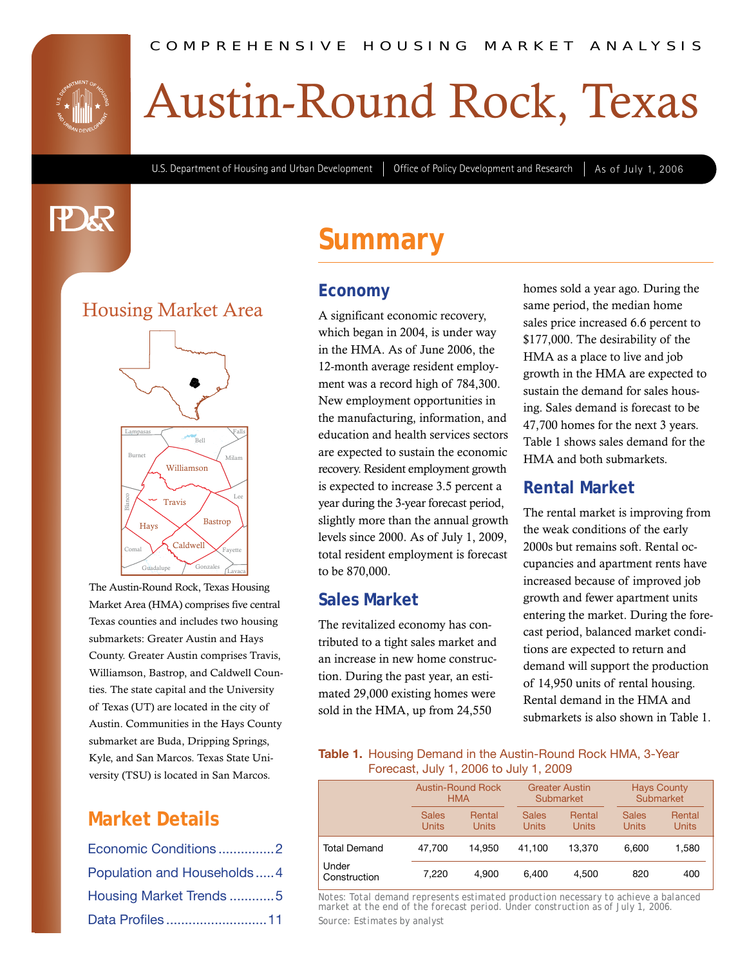

# Austin-Round Rock, Texas

U.S. Department of Housing and Urban Development | Office of Policy Development and Research | As of July 1, 2006

# **PAR**

### Housing Market Area



The Austin-Round Rock, Texas Housing Market Area (HMA) comprises five central Texas counties and includes two housing submarkets: Greater Austin and Hays County. Greater Austin comprises Travis, Williamson, Bastrop, and Caldwell Counties. The state capital and the University of Texas (UT) are located in the city of Austin. Communities in the Hays County submarket are Buda, Dripping Springs, Kyle, and San Marcos. Texas State University (TSU) is located in San Marcos.

### **Market Details**

| Economic Conditions2       |  |
|----------------------------|--|
| Population and Households4 |  |
| Housing Market Trends 5    |  |
| Data Profiles11            |  |

### **Summary**

#### **Economy**

A significant economic recovery, which began in 2004, is under way in the HMA. As of June 2006, the 12-month average resident employment was a record high of 784,300. New employment opportunities in the manufacturing, information, and education and health services sectors are expected to sustain the economic recovery. Resident employment growth is expected to increase 3.5 percent a year during the 3-year forecast period, slightly more than the annual growth levels since 2000. As of July 1, 2009, total resident employment is forecast to be 870,000.

#### **Sales Market**

The revitalized economy has contributed to a tight sales market and an increase in new home construction. During the past year, an estimated 29,000 existing homes were sold in the HMA, up from 24,550

homes sold a year ago. During the same period, the median home sales price increased 6.6 percent to \$177,000. The desirability of the HMA as a place to live and job growth in the HMA are expected to sustain the demand for sales housing. Sales demand is forecast to be 47,700 homes for the next 3 years. Table 1 shows sales demand for the HMA and both submarkets.

#### **Rental Market**

The rental market is improving from the weak conditions of the early 2000s but remains soft. Rental occupancies and apartment rents have increased because of improved job growth and fewer apartment units entering the market. During the forecast period, balanced market conditions are expected to return and demand will support the production of 14,950 units of rental housing. Rental demand in the HMA and submarkets is also shown in Table 1.

#### **Table 1.** Housing Demand in the Austin-Round Rock HMA, 3-Year Forecast, July 1, 2006 to July 1, 2009

|                       | <b>Austin-Round Rock</b> |              | <b>Greater Austin</b> |              | <b>Hays County</b> |              |
|-----------------------|--------------------------|--------------|-----------------------|--------------|--------------------|--------------|
|                       | <b>HMA</b>               |              | Submarket             |              | Submarket          |              |
|                       | <b>Sales</b>             | Rental       | <b>Sales</b>          | Rental       | <b>Sales</b>       | Rental       |
|                       | <b>Units</b>             | <b>Units</b> | <b>Units</b>          | <b>Units</b> | <b>Units</b>       | <b>Units</b> |
| <b>Total Demand</b>   | 47.700                   | 14.950       | 41.100                | 13.370       | 6.600              | 1.580        |
| Under<br>Construction | 7,220                    | 4.900        | 6.400                 | 4.500        | 820                | 400          |

Housing Market Trends ............5 *Notes: Total demand represents estimated production necessary to achieve a balanced market at the end of the forecast period. Under construction as of July 1, 2006.* Source: Estimates by analyst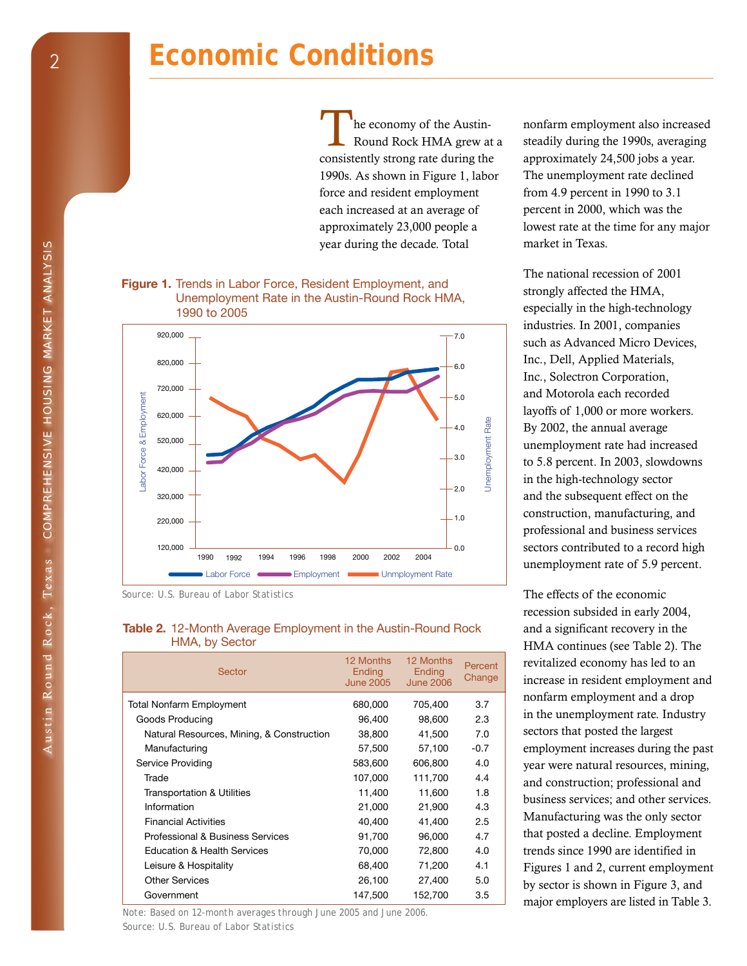# **Economic Conditions**

he economy of the Austin-Round Rock HMA grew at a consistently strong rate during the 1990s. As shown in Figure 1, labor force and resident employment each increased at an average of approximately 23,000 people a year during the decade. Total

#### **Figure 1.** Trends in Labor Force, Resident Employment, and Unemployment Rate in the Austin-Round Rock HMA, 1990 to 2005



*Source: U.S. Bureau of Labor Statistics* 

#### **Table 2.** 12-Month Average Employment in the Austin-Round Rock HMA, by Sector

| Sector                                    | 12 Months<br>Ending<br><b>June 2005</b> | 12 Months<br><b>Ending</b><br><b>June 2006</b> | Percent<br>Change |
|-------------------------------------------|-----------------------------------------|------------------------------------------------|-------------------|
| <b>Total Nonfarm Employment</b>           | 680,000                                 | 705,400                                        | 3.7               |
| Goods Producing                           | 96,400                                  | 98,600                                         | 2.3               |
| Natural Resources, Mining, & Construction | 38,800                                  | 41,500                                         | 7.0               |
| Manufacturing                             | 57,500                                  | 57,100                                         | $-0.7$            |
| Service Providing                         | 583,600                                 | 606,800                                        | 4.0               |
| Trade                                     | 107,000                                 | 111,700                                        | 4.4               |
| <b>Transportation &amp; Utilities</b>     | 11,400                                  | 11,600                                         | 1.8               |
| Information                               | 21,000                                  | 21,900                                         | 4.3               |
| <b>Financial Activities</b>               | 40,400                                  | 41,400                                         | $2.5\,$           |
| Professional & Business Services          | 91,700                                  | 96,000                                         | 4.7               |
| <b>Education &amp; Health Services</b>    | 70,000                                  | 72,800                                         | 4.0               |
| Leisure & Hospitality                     | 68,400                                  | 71,200                                         | 4.1               |
| <b>Other Services</b>                     | 26,100                                  | 27,400                                         | 5.0               |
| Government                                | 147,500                                 | 152,700                                        | 3.5               |

*Note: Based on 12-month averages through June 2005 and June 2006. Source: U.S. Bureau of Labor Statistics* 

nonfarm employment also increased steadily during the 1990s, averaging approximately 24,500 jobs a year. The unemployment rate declined from 4.9 percent in 1990 to 3.1 percent in 2000, which was the lowest rate at the time for any major market in Texas.

The national recession of 2001 strongly affected the HMA, especially in the high-technology industries. In 2001, companies such as Advanced Micro Devices, Inc., Dell, Applied Materials, Inc., Solectron Corporation, and Motorola each recorded layoffs of 1,000 or more workers. By 2002, the annual average unemployment rate had increased to 5.8 percent. In 2003, slowdowns in the high-technology sector and the subsequent effect on the construction, manufacturing, and professional and business services sectors contributed to a record high unemployment rate of 5.9 percent.

The effects of the economic recession subsided in early 2004, and a significant recovery in the HMA continues (see Table 2). The revitalized economy has led to an increase in resident employment and nonfarm employment and a drop in the unemployment rate. Industry sectors that posted the largest employment increases during the past year were natural resources, mining, and construction; professional and business services; and other services. Manufacturing was the only sector that posted a decline. Employment trends since 1990 are identified in Figures 1 and 2, current employment by sector is shown in Figure 3, and major employers are listed in Table 3.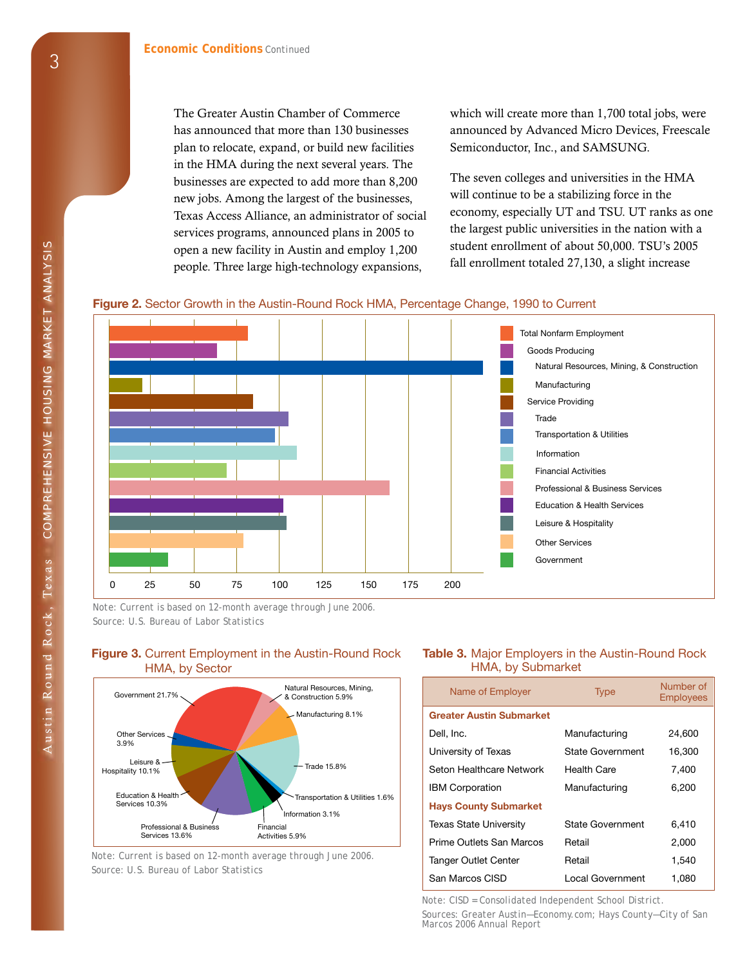The Greater Austin Chamber of Commerce has announced that more than 130 businesses plan to relocate, expand, or build new facilities in the HMA during the next several years. The businesses are expected to add more than 8,200 new jobs. Among the largest of the businesses, Texas Access Alliance, an administrator of social services programs, announced plans in 2005 to open a new facility in Austin and employ 1,200 people. Three large high-technology expansions,

which will create more than 1,700 total jobs, were announced by Advanced Micro Devices, Freescale Semiconductor, Inc., and SAMSUNG.

The seven colleges and universities in the HMA will continue to be a stabilizing force in the economy, especially UT and TSU. UT ranks as one the largest public universities in the nation with a student enrollment of about 50,000. TSU's 2005 fall enrollment totaled 27,130, a slight increase





*Note: Current is based on 12-month average through June 2006. Source: U.S. Bureau of Labor Statistics* 



**Figure 3.** Current Employment in the Austin-Round Rock HMA, by Sector

*Note: Current is based on 12-month average through June 2006. Source: U.S. Bureau of Labor Statistics* 

#### **Table 3.** Major Employers in the Austin-Round Rock HMA, by Submarket

| Name of Employer                | <b>Type</b>        | Number of<br><b>Employees</b> |
|---------------------------------|--------------------|-------------------------------|
| <b>Greater Austin Submarket</b> |                    |                               |
| Dell. Inc.                      | Manufacturing      | 24,600                        |
| University of Texas             | State Government   | 16,300                        |
| Seton Healthcare Network        | <b>Health Care</b> | 7.400                         |
| <b>IBM Corporation</b>          | Manufacturing      | 6,200                         |
| <b>Hays County Submarket</b>    |                    |                               |
| <b>Texas State University</b>   | State Government   | 6,410                         |
| Prime Outlets San Marcos        | Retail             | 2,000                         |
| <b>Tanger Outlet Center</b>     | Retail             | 1,540                         |
| San Marcos CISD                 | Local Government   | 1.080                         |

*Note: CISD = Consolidated Independent School District.* 

*Sources: Greater Austin—Economy.com; Hays County—City of San Marcos 2006 Annual Report*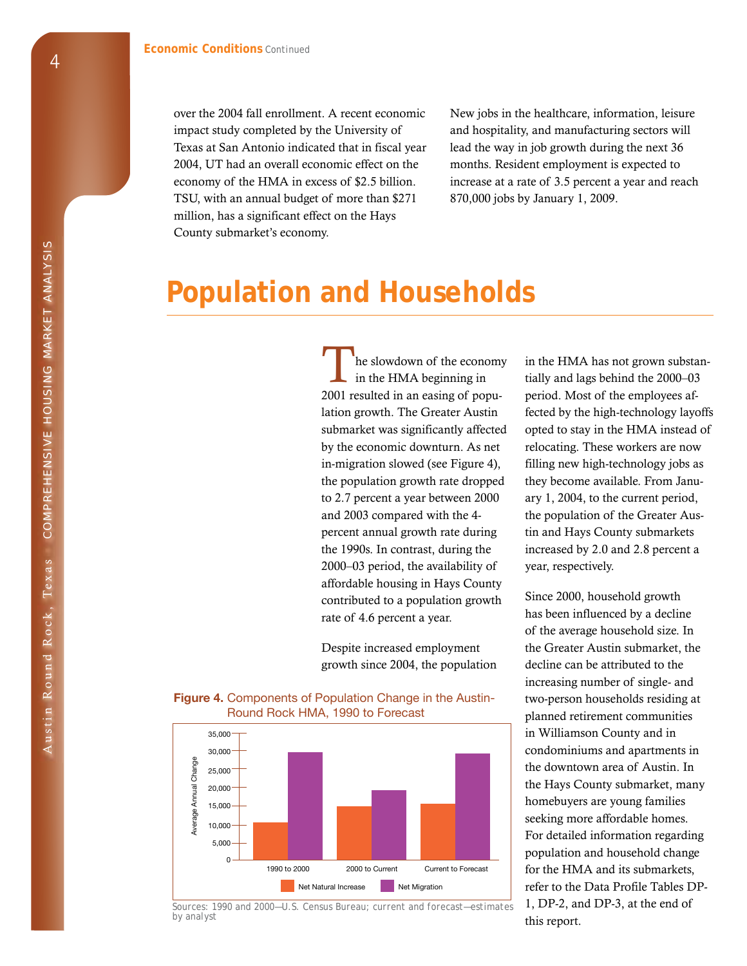over the 2004 fall enrollment. A recent economic impact study completed by the University of Texas at San Antonio indicated that in fiscal year 2004, UT had an overall economic effect on the economy of the HMA in excess of \$2.5 billion. TSU, with an annual budget of more than \$271 million, has a significant effect on the Hays County submarket's economy.

New jobs in the healthcare, information, leisure and hospitality, and manufacturing sectors will lead the way in job growth during the next 36 months. Resident employment is expected to increase at a rate of 3.5 percent a year and reach 870,000 jobs by January 1, 2009.

### **Population and Households**

he slowdown of the economy in the HMA beginning in 2001 resulted in an easing of population growth. The Greater Austin submarket was significantly affected by the economic downturn. As net in-migration slowed (see Figure 4), the population growth rate dropped to 2.7 percent a year between 2000 and 2003 compared with the 4 percent annual growth rate during the 1990s. In contrast, during the 2000–03 period, the availability of affordable housing in Hays County contributed to a population growth rate of 4.6 percent a year.

Despite increased employment growth since 2004, the population

35,000 30,000 Average Annual Change Annual Change 25,000 20,000  $15,000$ Average 10,000 5,000 0 1990 to 2000 2000 to Current Current to Forecast Net Natural Increase Net Migration



1, DP-2, and DP-3, at the end of *Sources: 1990 and 2000—U.S. Census Bureau; current and forecast—estimates* 

in the HMA has not grown substantially and lags behind the 2000–03 period. Most of the employees affected by the high-technology layoffs opted to stay in the HMA instead of relocating. These workers are now filling new high-technology jobs as they become available. From January 1, 2004, to the current period, the population of the Greater Austin and Hays County submarkets increased by 2.0 and 2.8 percent a year, respectively.

Since 2000, household growth has been influenced by a decline of the average household size. In the Greater Austin submarket, the decline can be attributed to the increasing number of single- and two-person households residing at planned retirement communities in Williamson County and in condominiums and apartments in the downtown area of Austin. In the Hays County submarket, many homebuyers are young families seeking more affordable homes. For detailed information regarding population and household change for the HMA and its submarkets, refer to the Data Profile Tables DPthis report.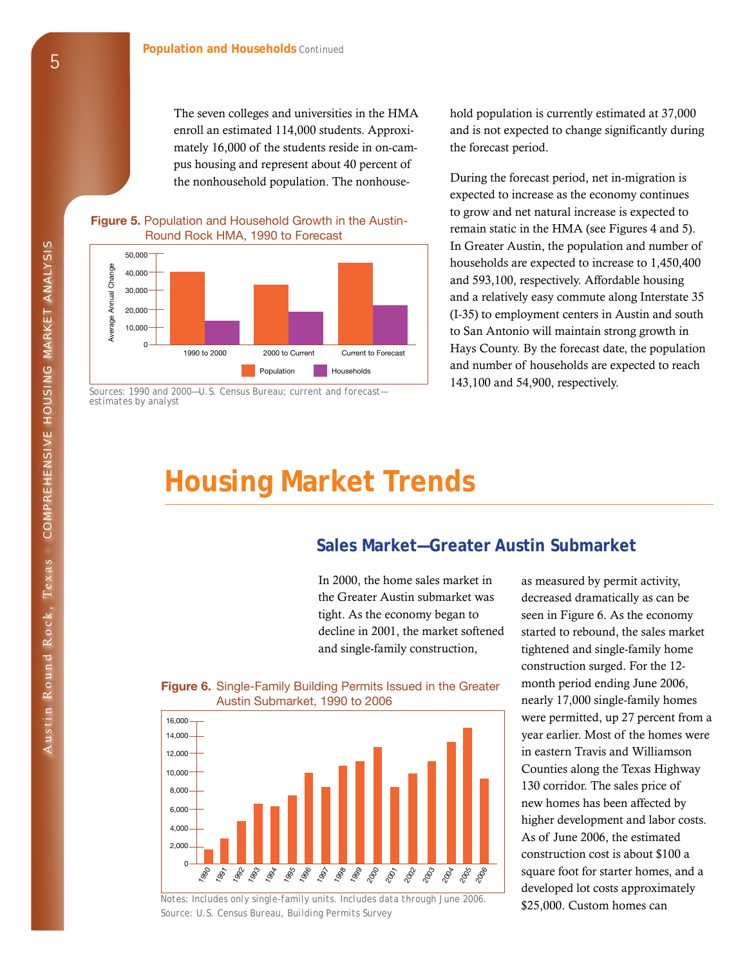The seven colleges and universities in the HMA enroll an estimated 114,000 students. Approximately 16,000 of the students reside in on-campus housing and represent about 40 percent of the nonhousehold population. The nonhouse-

#### **Figure 5.** Population and Household Growth in the Austin-Round Rock HMA, 1990 to Forecast



*estimates by analyst* 

hold population is currently estimated at 37,000 and is not expected to change significantly during the forecast period.

During the forecast period, net in-migration is expected to increase as the economy continues to grow and net natural increase is expected to remain static in the HMA (see Figures 4 and 5). In Greater Austin, the population and number of households are expected to increase to 1,450,400 and 593,100, respectively. Affordable housing and a relatively easy commute along Interstate 35 (I-35) to employment centers in Austin and south to San Antonio will maintain strong growth in  $\frac{1}{2000 \text{ to } 2000}$  and to Current Current to Forecast date, the population Population **Households and number of households are expected to reach** 

### **Housing Market Trends**

#### **Sales Market—Greater Austin Submarket**

the Greater Austin submarket was decreased dramatically as can be tight. As the economy began to seen in Figure 6. As the economy and single-family construction, tightened and single-family home



*Notes: Includes only single-family units. Includes data through June 2006.* **\$25,000. Custom homes can** *Source: U.S. Census Bureau, Building Permits Survey* 

In 2000, the home sales market in as measured by permit activity, decline in 2001, the market softened started to rebound, the sales market construction surged. For the 12- **Figure 6.** Single-Family Building Permits Issued in the Greater month period ending June 2006, nearly 17,000 single-family homes were permitted, up 27 percent from a year earlier. Most of the homes were in eastern Travis and Williamson Counties along the Texas Highway 130 corridor. The sales price of new homes has been affected by higher development and labor costs. As of June 2006, the estimated construction cost is about \$100 a square foot for starter homes, and a developed lot costs approximately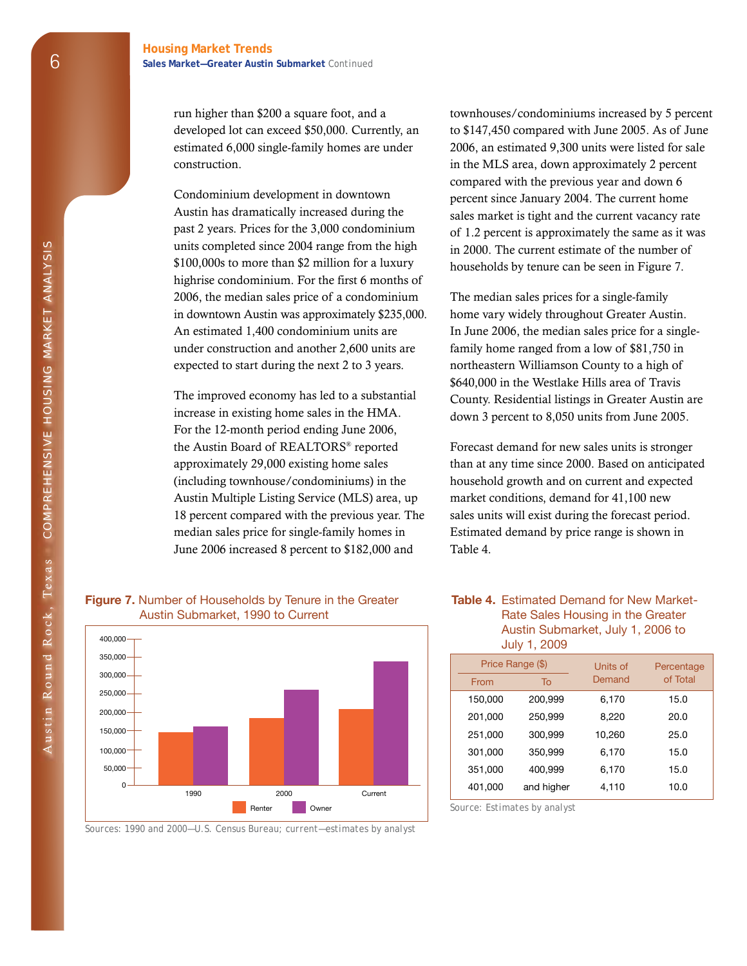run higher than \$200 a square foot, and a developed lot can exceed \$50,000. Currently, an estimated 6,000 single-family homes are under construction.

Condominium development in downtown Austin has dramatically increased during the past 2 years. Prices for the 3,000 condominium units completed since 2004 range from the high \$100,000s to more than \$2 million for a luxury highrise condominium. For the first 6 months of 2006, the median sales price of a condominium in downtown Austin was approximately \$235,000. An estimated 1,400 condominium units are under construction and another 2,600 units are expected to start during the next 2 to 3 years.

The improved economy has led to a substantial increase in existing home sales in the HMA. For the 12-month period ending June 2006, the Austin Board of REALTORS® reported approximately 29,000 existing home sales (including townhouse/condominiums) in the Austin Multiple Listing Service (MLS) area, up 18 percent compared with the previous year. The median sales price for single-family homes in June 2006 increased 8 percent to \$182,000 and

townhouses/condominiums increased by 5 percent to \$147,450 compared with June 2005. As of June 2006, an estimated 9,300 units were listed for sale in the MLS area, down approximately 2 percent compared with the previous year and down 6 percent since January 2004. The current home sales market is tight and the current vacancy rate of 1.2 percent is approximately the same as it was in 2000. The current estimate of the number of households by tenure can be seen in Figure 7.

The median sales prices for a single-family home vary widely throughout Greater Austin. In June 2006, the median sales price for a singlefamily home ranged from a low of \$81,750 in northeastern Williamson County to a high of \$640,000 in the Westlake Hills area of Travis County. Residential listings in Greater Austin are down 3 percent to 8,050 units from June 2005.

Forecast demand for new sales units is stronger than at any time since 2000. Based on anticipated household growth and on current and expected market conditions, demand for 41,100 new sales units will exist during the forecast period. Estimated demand by price range is shown in Table 4.

#### **Table 4.** Estimated Demand for New Market-Rate Sales Housing in the Greater Austin Submarket, July 1, 2006 to July 1, 2009

|         | Price Range (\$) | Units of | Percentage |
|---------|------------------|----------|------------|
| From    | To               | Demand   | of Total   |
| 150,000 | 200,999          | 6,170    | 15.0       |
| 201,000 | 250,999          | 8,220    | 20.0       |
| 251,000 | 300,999          | 10,260   | 25.0       |
| 301,000 | 350,999          | 6,170    | 15.0       |
| 351,000 | 400,999          | 6,170    | 15.0       |
| 401,000 | and higher       | 4,110    | 10.0       |

*Source: Estimates by analyst* 

| --------<br>Austin Submarket, 1990 to Current |  |  |  |  |  |  |  |  |  |  |
|-----------------------------------------------|--|--|--|--|--|--|--|--|--|--|
| 400,000                                       |  |  |  |  |  |  |  |  |  |  |
| 350,000                                       |  |  |  |  |  |  |  |  |  |  |
| 300,000                                       |  |  |  |  |  |  |  |  |  |  |
| 250,000                                       |  |  |  |  |  |  |  |  |  |  |
| 200,000                                       |  |  |  |  |  |  |  |  |  |  |
| 150,000                                       |  |  |  |  |  |  |  |  |  |  |
| 100,000                                       |  |  |  |  |  |  |  |  |  |  |

# **Figure 7.** Number of Households by Tenure in the Greater

*Sources: 1990 and 2000—U.S. Census Bureau; current—estimates by analyst* 

Renter **Owner** 

Current

1990 2000

50,000 0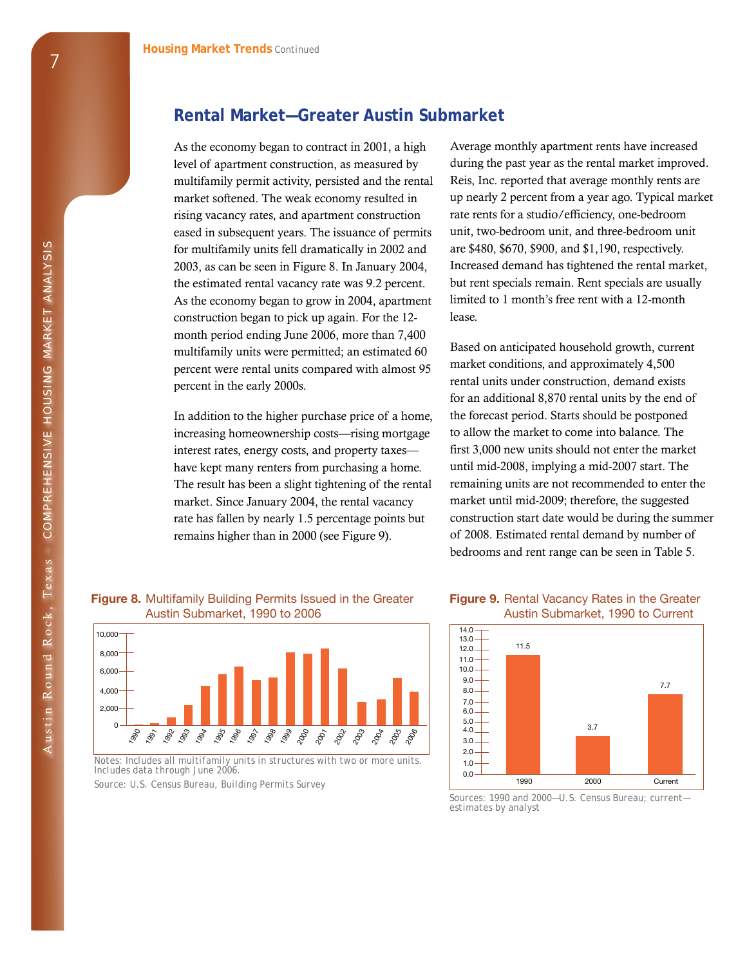#### **Rental Market—Greater Austin Submarket**

As the economy began to contract in 2001, a high level of apartment construction, as measured by multifamily permit activity, persisted and the rental market softened. The weak economy resulted in rising vacancy rates, and apartment construction eased in subsequent years. The issuance of permits for multifamily units fell dramatically in 2002 and 2003, as can be seen in Figure 8. In January 2004, the estimated rental vacancy rate was 9.2 percent. As the economy began to grow in 2004, apartment construction began to pick up again. For the 12 month period ending June 2006, more than 7,400 multifamily units were permitted; an estimated 60 percent were rental units compared with almost 95 percent in the early 2000s.

In addition to the higher purchase price of a home, increasing homeownership costs—rising mortgage interest rates, energy costs, and property taxes have kept many renters from purchasing a home. The result has been a slight tightening of the rental market. Since January 2004, the rental vacancy rate has fallen by nearly 1.5 percentage points but remains higher than in 2000 (see Figure 9).

Average monthly apartment rents have increased during the past year as the rental market improved. Reis, Inc. reported that average monthly rents are up nearly 2 percent from a year ago. Typical market rate rents for a studio/efficiency, one-bedroom unit, two-bedroom unit, and three-bedroom unit are \$480, \$670, \$900, and \$1,190, respectively. Increased demand has tightened the rental market, but rent specials remain. Rent specials are usually limited to 1 month's free rent with a 12-month lease.

Based on anticipated household growth, current market conditions, and approximately 4,500 rental units under construction, demand exists for an additional 8,870 rental units by the end of the forecast period. Starts should be postponed to allow the market to come into balance. The first 3,000 new units should not enter the market until mid-2008, implying a mid-2007 start. The remaining units are not recommended to enter the market until mid-2009; therefore, the suggested construction start date would be during the summer of 2008. Estimated rental demand by number of bedrooms and rent range can be seen in Table 5.

#### **Figure 8.** Multifamily Building Permits Issued in the Greater Austin Submarket, 1990 to 2006



*Notes: Includes all multifamily units in structures with two or more units. Includes data through June 2006.* 

*Source: U.S. Census Bureau, Building Permits Survey* 

#### **Figure 9.** Rental Vacancy Rates in the Greater Austin Submarket, 1990 to Current



*Sources: 1990 and 2000—U.S. Census Bureau; current estimates by analyst*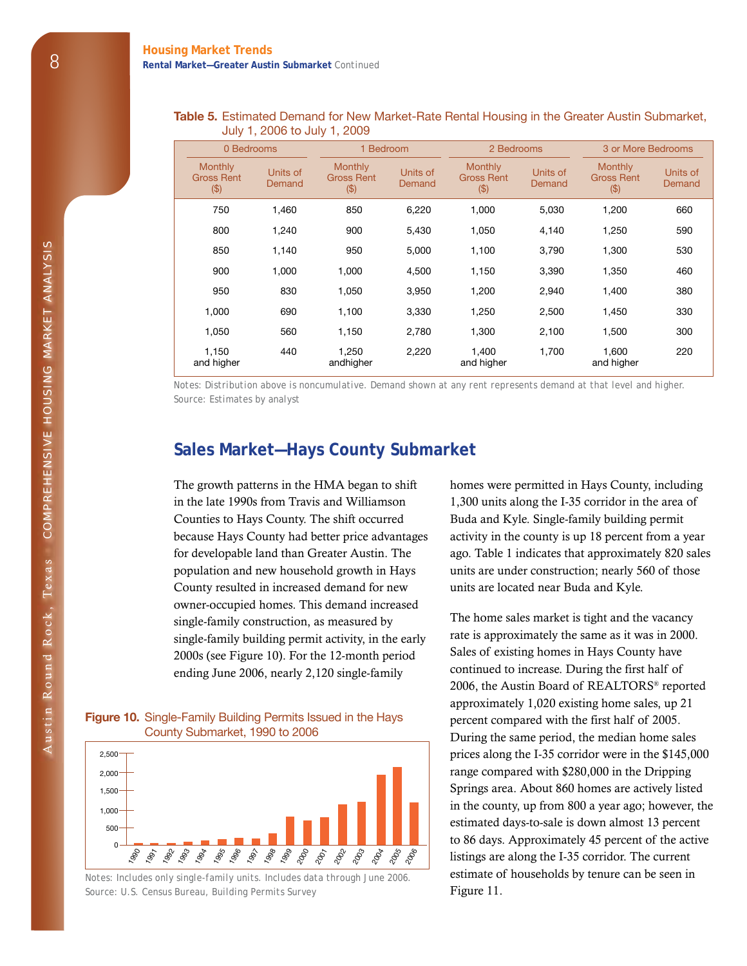#### **Table 5.** Estimated Demand for New Market-Rate Rental Housing in the Greater Austin Submarket, July 1, 2006 to July 1, 2009

|                                              | 0 Bedrooms<br>1 Bedroom |                                                |                    | 2 Bedrooms                                    |                    |                                              | 3 or More Bedrooms |
|----------------------------------------------|-------------------------|------------------------------------------------|--------------------|-----------------------------------------------|--------------------|----------------------------------------------|--------------------|
| <b>Monthly</b><br><b>Gross Rent</b><br>( \$) | Units of<br>Demand      | <b>Monthly</b><br><b>Gross Rent</b><br>$($ \$) | Units of<br>Demand | <b>Monthly</b><br><b>Gross Rent</b><br>( \$ ) | Units of<br>Demand | <b>Monthly</b><br><b>Gross Rent</b><br>( \$) | Units of<br>Demand |
| 750                                          | 1.460                   | 850                                            | 6,220              | 1,000                                         | 5,030              | 1,200                                        | 660                |
| 800                                          | 1,240                   | 900                                            | 5,430              | 1,050                                         | 4,140              | 1,250                                        | 590                |
| 850                                          | 1,140                   | 950                                            | 5,000              | 1,100                                         | 3,790              | 1,300                                        | 530                |
| 900                                          | 1,000                   | 1,000                                          | 4,500              | 1,150                                         | 3,390              | 1,350                                        | 460                |
| 950                                          | 830                     | 1,050                                          | 3,950              | 1,200                                         | 2,940              | 1,400                                        | 380                |
| 1,000                                        | 690                     | 1,100                                          | 3,330              | 1,250                                         | 2,500              | 1,450                                        | 330                |
| 1,050                                        | 560                     | 1,150                                          | 2,780              | 1,300                                         | 2,100              | 1,500                                        | 300                |
| 1,150<br>and higher                          | 440                     | 1,250<br>andhigher                             | 2,220              | 1,400<br>and higher                           | 1,700              | 1,600<br>and higher                          | 220                |

*Notes: Distribution above is noncumulative. Demand shown at any rent represents demand at that level and higher. Source: Estimates by analyst* 

#### **Sales Market—Hays County Submarket**

The growth patterns in the HMA began to shift in the late 1990s from Travis and Williamson Counties to Hays County. The shift occurred because Hays County had better price advantages for developable land than Greater Austin. The population and new household growth in Hays County resulted in increased demand for new owner-occupied homes. This demand increased single-family construction, as measured by single-family building permit activity, in the early 2000s (see Figure 10). For the 12-month period ending June 2006, nearly 2,120 single-family

#### **Figure 10.** Single-Family Building Permits Issued in the Hays County Submarket, 1990 to 2006



*Notes: Includes only single-family units. Includes data through June 2006.*  Source: U.S. Census Bureau, Building Permits Survey **Figure 11.** 

homes were permitted in Hays County, including 1,300 units along the I-35 corridor in the area of Buda and Kyle. Single-family building permit activity in the county is up 18 percent from a year ago. Table 1 indicates that approximately 820 sales units are under construction; nearly 560 of those units are located near Buda and Kyle.

The home sales market is tight and the vacancy rate is approximately the same as it was in 2000. Sales of existing homes in Hays County have continued to increase. During the first half of 2006, the Austin Board of REALTORS® reported approximately 1,020 existing home sales, up 21 percent compared with the first half of 2005. During the same period, the median home sales prices along the I-35 corridor were in the \$145,000 range compared with \$280,000 in the Dripping Springs area. About 860 homes are actively listed in the county, up from 800 a year ago; however, the estimated days-to-sale is down almost 13 percent to 86 days. Approximately 45 percent of the active listings are along the I-35 corridor. The current estimate of households by tenure can be seen in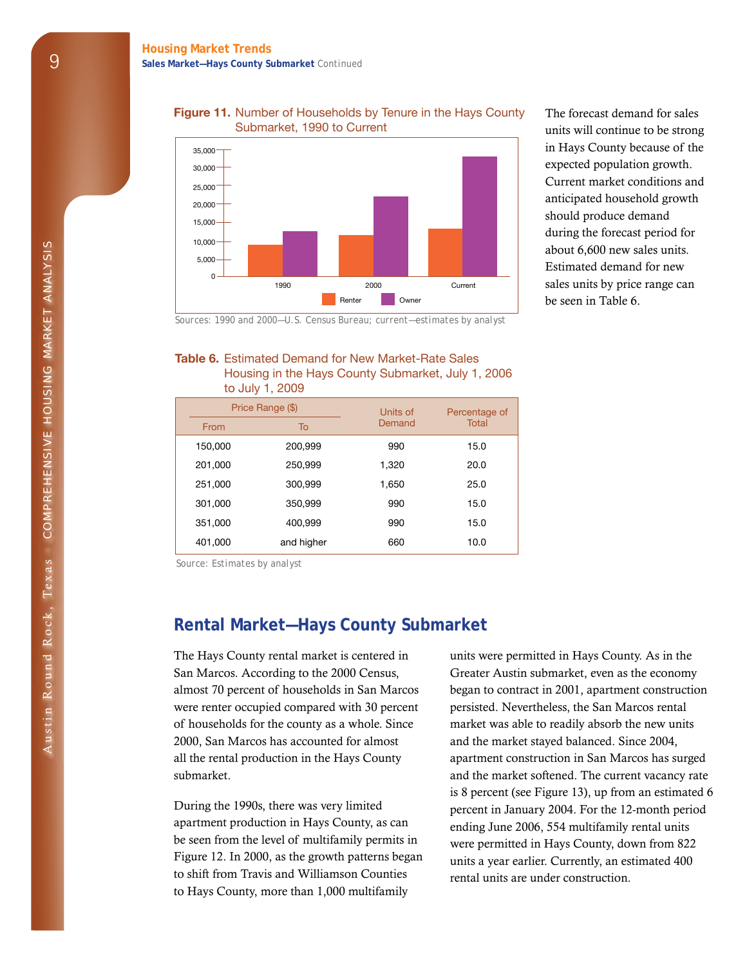#### **Figure 11.** Number of Households by Tenure in the Hays County Submarket, 1990 to Current



The forecast demand for sales units will continue to be strong in Hays County because of the expected population growth. Current market conditions and anticipated household growth should produce demand during the forecast period for about 6,600 new sales units. Estimated demand for new sales units by price range can be seen in Table 6.

*Sources: 1990 and 2000—U.S. Census Bureau; current—estimates by analyst* 

#### **Table 6.** Estimated Demand for New Market-Rate Sales Housing in the Hays County Submarket, July 1, 2006 to July 1, 2009

|         | $\sim$           |                    |                               |  |  |
|---------|------------------|--------------------|-------------------------------|--|--|
|         | Price Range (\$) | Units of<br>Demand | Percentage of<br><b>Total</b> |  |  |
| From    | To               |                    |                               |  |  |
| 150,000 | 200,999          | 990                | 15.0                          |  |  |
| 201,000 | 250,999          | 1,320              | 20.0                          |  |  |
| 251,000 | 300,999          | 1,650              | 25.0                          |  |  |
| 301,000 | 350,999          | 990                | 15.0                          |  |  |
| 351,000 | 400,999          | 990                | 15.0                          |  |  |
| 401,000 | and higher       | 660                | 10.0                          |  |  |

*Source: Estimates by analyst* 

#### **Rental Market—Hays County Submarket**

The Hays County rental market is centered in San Marcos. According to the 2000 Census, almost 70 percent of households in San Marcos were renter occupied compared with 30 percent of households for the county as a whole. Since 2000, San Marcos has accounted for almost all the rental production in the Hays County submarket.

During the 1990s, there was very limited apartment production in Hays County, as can be seen from the level of multifamily permits in Figure 12. In 2000, as the growth patterns began to shift from Travis and Williamson Counties to Hays County, more than 1,000 multifamily

units were permitted in Hays County. As in the Greater Austin submarket, even as the economy began to contract in 2001, apartment construction persisted. Nevertheless, the San Marcos rental market was able to readily absorb the new units and the market stayed balanced. Since 2004, apartment construction in San Marcos has surged and the market softened. The current vacancy rate is 8 percent (see Figure 13), up from an estimated 6 percent in January 2004. For the 12-month period ending June 2006, 554 multifamily rental units were permitted in Hays County, down from 822 units a year earlier. Currently, an estimated 400 rental units are under construction.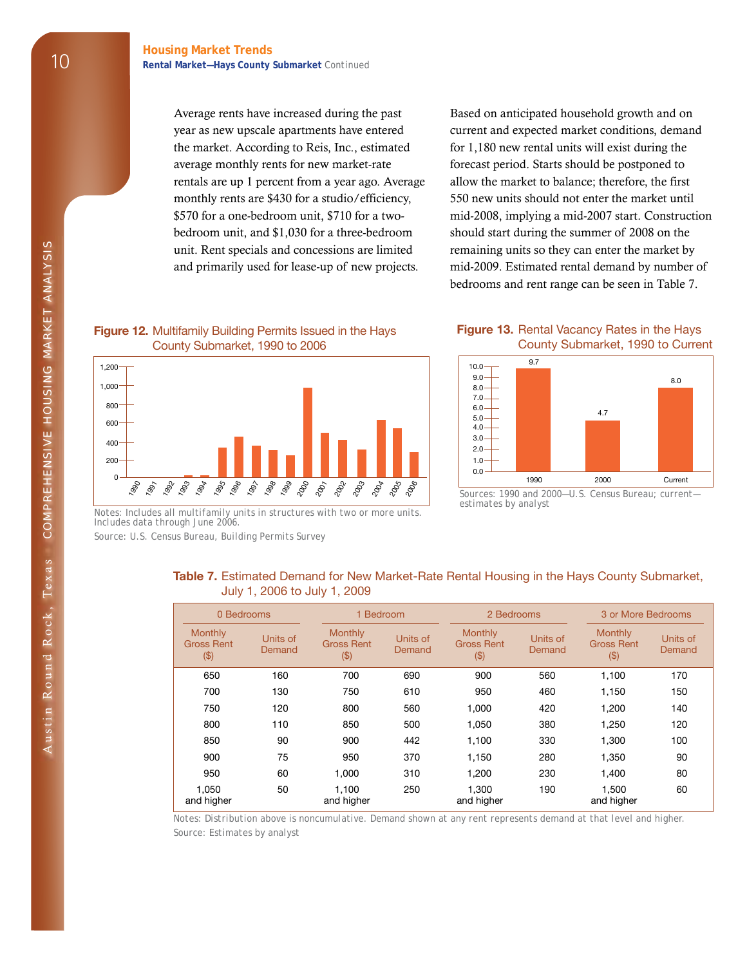### **Rental Market—Hays County Submarket** *Continued*

Average rents have increased during the past year as new upscale apartments have entered the market. According to Reis, Inc., estimated average monthly rents for new market-rate rentals are up 1 percent from a year ago. Average monthly rents are \$430 for a studio/efficiency, \$570 for a one-bedroom unit, \$710 for a twobedroom unit, and \$1,030 for a three-bedroom unit. Rent specials and concessions are limited and primarily used for lease-up of new projects.

Based on anticipated household growth and on current and expected market conditions, demand for 1,180 new rental units will exist during the forecast period. Starts should be postponed to allow the market to balance; therefore, the first 550 new units should not enter the market until mid-2008, implying a mid-2007 start. Construction should start during the summer of 2008 on the remaining units so they can enter the market by mid-2009. Estimated rental demand by number of bedrooms and rent range can be seen in Table 7.

#### **Figure 12.** Multifamily Building Permits Issued in the Hays County Submarket, 1990 to 2006



*Notes: Includes all multifamily units in structures with two or more units. Includes data through June 2006. Source: U.S. Census Bureau, Building Permits Survey* 

#### **Figure 13.** Rental Vacancy Rates in the Hays County Submarket, 1990 to Current



*Sources: 1990 and 2000—U.S. Census Bureau; current estimates by analyst* 

#### **Table 7.** Estimated Demand for New Market-Rate Rental Housing in the Hays County Submarket, July 1, 2006 to July 1, 2009

| 0 Bedrooms                              |                    |                                               | 1 Bedroom          |                                               | 2 Bedrooms         | 3 or More Bedrooms                      |                    |
|-----------------------------------------|--------------------|-----------------------------------------------|--------------------|-----------------------------------------------|--------------------|-----------------------------------------|--------------------|
| Monthly<br><b>Gross Rent</b><br>$(\$\)$ | Units of<br>Demand | <b>Monthly</b><br><b>Gross Rent</b><br>$(\$)$ | Units of<br>Demand | <b>Monthly</b><br><b>Gross Rent</b><br>( \$ ) | Units of<br>Demand | <b>Monthly</b><br>Gross Rent<br>$(\$\)$ | Units of<br>Demand |
| 650                                     | 160                | 700                                           | 690                | 900                                           | 560                | 1,100                                   | 170                |
| 700                                     | 130                | 750                                           | 610                | 950                                           | 460                | 1,150                                   | 150                |
| 750                                     | 120                | 800                                           | 560                | 1.000                                         | 420                | 1,200                                   | 140                |
| 800                                     | 110                | 850                                           | 500                | 1.050                                         | 380                | 1,250                                   | 120                |
| 850                                     | 90                 | 900                                           | 442                | 1,100                                         | 330                | 1,300                                   | 100                |
| 900                                     | 75                 | 950                                           | 370                | 1.150                                         | 280                | 1,350                                   | 90                 |
| 950                                     | 60                 | 1,000                                         | 310                | 1,200                                         | 230                | 1,400                                   | 80                 |
| 1.050<br>and higher                     | 50                 | 1.100<br>and higher                           | 250                | 1.300<br>and higher                           | 190                | 1.500<br>and higher                     | 60                 |

*Notes: Distribution above is noncumulative. Demand shown at any rent represents demand at that level and higher. Source: Estimates by analyst*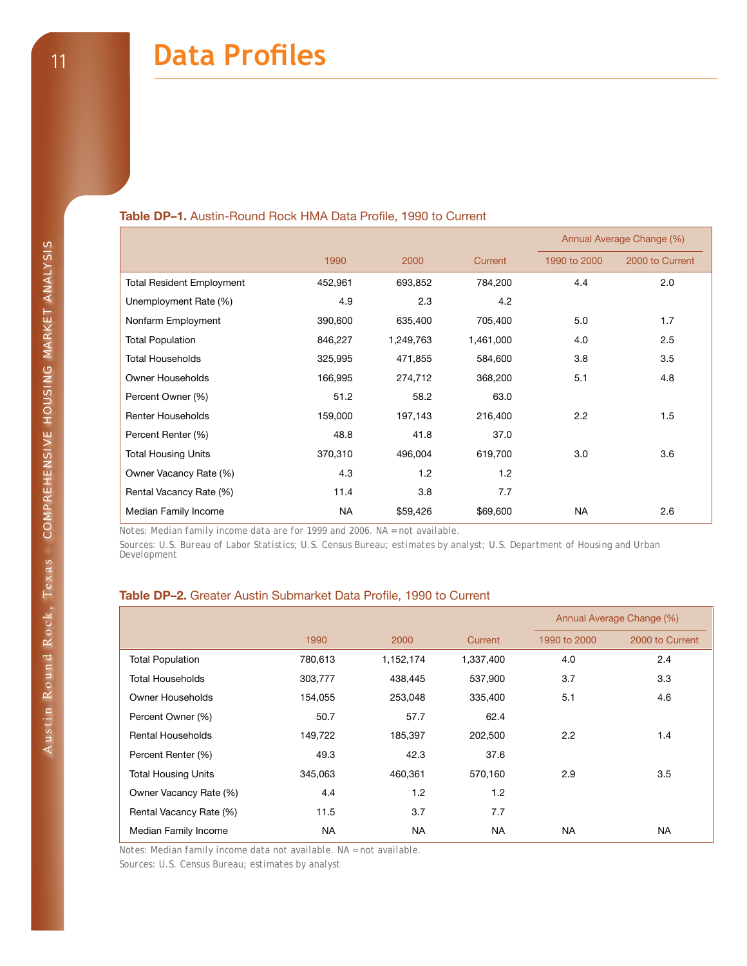#### **Table DP–1.** Austin-Round Rock HMA Data Profile, 1990 to Current

|                                  |         |           | Table DP-1. Austin-Round Rock HMA Data Profile, 1990 to Current |              | Annual Average Change (%) |
|----------------------------------|---------|-----------|-----------------------------------------------------------------|--------------|---------------------------|
|                                  | 1990    | 2000      | Current                                                         | 1990 to 2000 | 2000 to Current           |
| <b>Total Resident Employment</b> | 452,961 | 693,852   | 784,200                                                         | 4.4          | 2.0                       |
| Unemployment Rate (%)            | 4.9     | 2.3       | 4.2                                                             |              |                           |
| Nonfarm Employment               | 390,600 | 635,400   | 705,400                                                         | 5.0          | 1.7                       |
| <b>Total Population</b>          | 846,227 | 1,249,763 | 1,461,000                                                       | 4.0          | $2.5\,$                   |
| <b>Total Households</b>          | 325,995 | 471,855   | 584,600                                                         | 3.8          | 3.5                       |
| Owner Households                 | 166,995 | 274,712   | 368,200                                                         | 5.1          | 4.8                       |
| Percent Owner (%)                | 51.2    | 58.2      | 63.0                                                            |              |                           |
| <b>Renter Households</b>         | 159,000 | 197,143   | 216,400                                                         | 2.2          | 1.5                       |
| Percent Renter (%)               | 48.8    | 41.8      | 37.0                                                            |              |                           |
| <b>Total Housing Units</b>       | 370,310 | 496,004   | 619,700                                                         | 3.0          | 3.6                       |
| Owner Vacancy Rate (%)           | 4.3     | 1.2       | 1.2                                                             |              |                           |
| Rental Vacancy Rate (%)          | 11.4    | 3.8       | 7.7                                                             |              |                           |
| Median Family Income             | ΝA      | \$59,426  | \$69,600                                                        | <b>NA</b>    | 2.6                       |

#### **Table DP–2.** Greater Austin Submarket Data Profile, 1990 to Current

|                            |         |           |           |              | Annual Average Change (%) |
|----------------------------|---------|-----------|-----------|--------------|---------------------------|
|                            | 1990    | 2000      | Current   | 1990 to 2000 | 2000 to Current           |
| <b>Total Population</b>    | 780,613 | 1,152,174 | 1,337,400 | 4.0          | 2.4                       |
| Total Households           | 303,777 | 438,445   | 537,900   | 3.7          | 3.3                       |
| Owner Households           | 154,055 | 253,048   | 335,400   | 5.1          | 4.6                       |
| Percent Owner (%)          | 50.7    | 57.7      | 62.4      |              |                           |
| Rental Households          | 149,722 | 185,397   | 202,500   | 2.2          | 1.4                       |
| Percent Renter (%)         | 49.3    | 42.3      | 37.6      |              |                           |
| <b>Total Housing Units</b> | 345,063 | 460,361   | 570,160   | 2.9          | 3.5                       |
| Owner Vacancy Rate (%)     | 4.4     | 1.2       | 1.2       |              |                           |
| Rental Vacancy Rate (%)    | 11.5    | 3.7       | 7.7       |              |                           |
| Median Family Income       | NA      | <b>NA</b> | <b>NA</b> | <b>NA</b>    | <b>NA</b>                 |

*Notes: Median family income data not available. NA = not available.* 

*Sources: U.S. Census Bureau; estimates by analyst*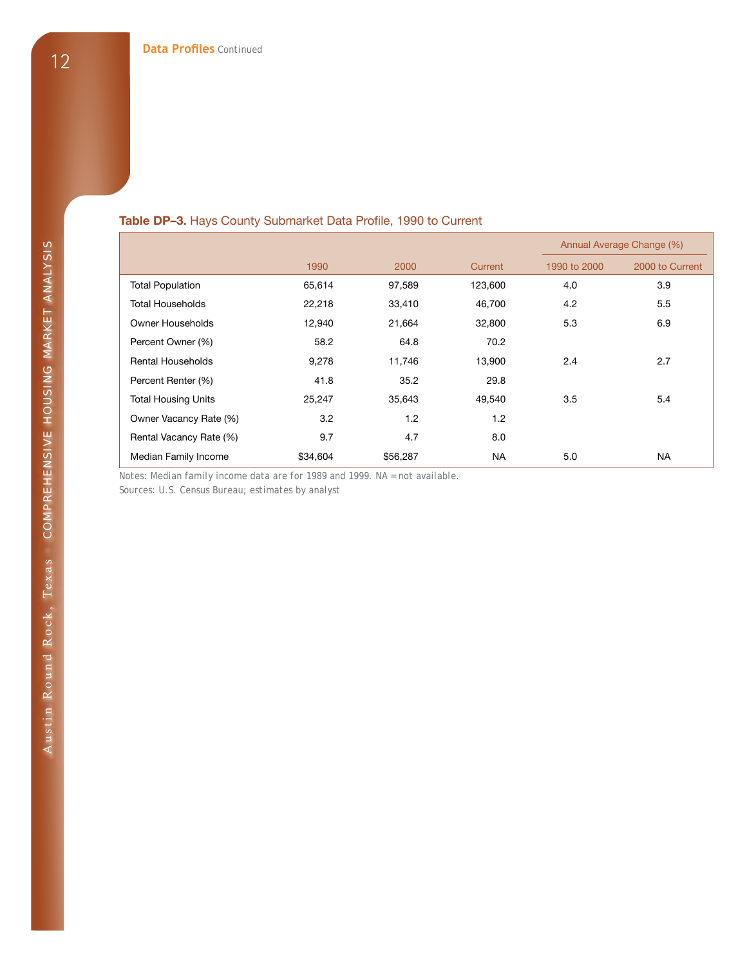#### **Table DP–3.** Hays County Submarket Data Profile, 1990 to Current

|                            |          |          |           |              | Annual Average Change (%) |
|----------------------------|----------|----------|-----------|--------------|---------------------------|
|                            | 1990     | 2000     | Current   | 1990 to 2000 | 2000 to Current           |
| <b>Total Population</b>    | 65,614   | 97,589   | 123,600   | 4.0          | 3.9                       |
| Total Households           | 22,218   | 33,410   | 46,700    | 4.2          | 5.5                       |
| Owner Households           | 12,940   | 21,664   | 32,800    | 5.3          | 6.9                       |
| Percent Owner (%)          | 58.2     | 64.8     | 70.2      |              |                           |
| <b>Rental Households</b>   | 9,278    | 11,746   | 13,900    | 2.4          | 2.7                       |
| Percent Renter (%)         | 41.8     | 35.2     | 29.8      |              |                           |
| <b>Total Housing Units</b> | 25,247   | 35,643   | 49,540    | 3.5          | 5.4                       |
| Owner Vacancy Rate (%)     | 3.2      | 1.2      | 1.2       |              |                           |
| Rental Vacancy Rate (%)    | 9.7      | 4.7      | 8.0       |              |                           |
| Median Family Income       | \$34,604 | \$56,287 | <b>NA</b> | 5.0          | NA                        |

*Notes: Median family income data are for 1989 and 1999. NA = not available.* 

*Sources: U.S. Census Bureau; estimates by analyst*